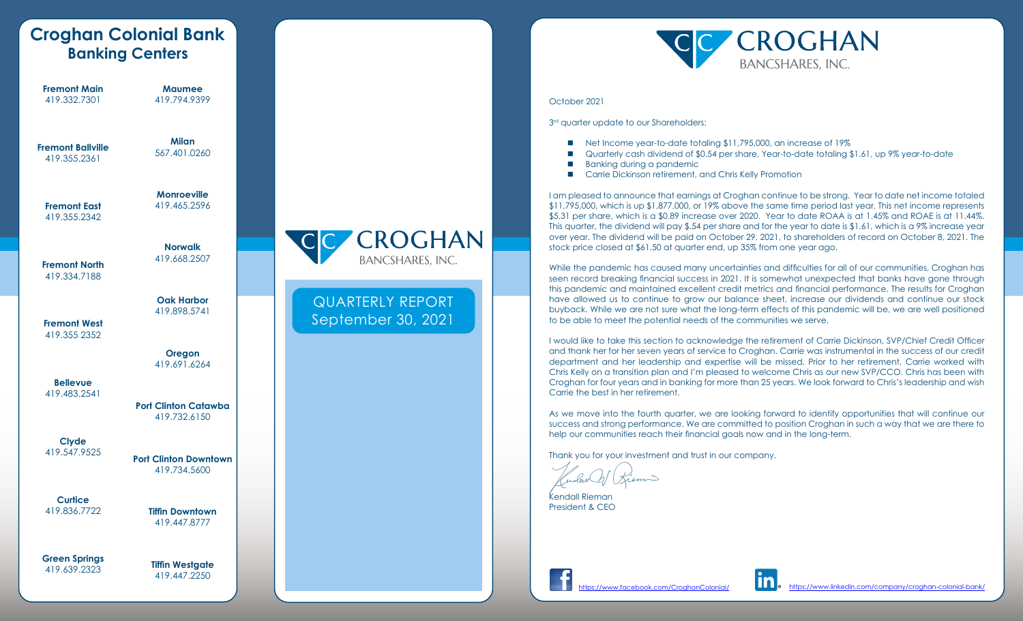|                                          | <b>Croghan Colonial Bank</b><br><b>Banking Centers</b> |                                               |
|------------------------------------------|--------------------------------------------------------|-----------------------------------------------|
| <b>Fremont Main</b><br>419.332.7301      | <b>Maumee</b><br>419.794.9399                          |                                               |
| <b>Fremont Ballville</b><br>419.355.2361 | <b>Milan</b><br>567.401.0260                           |                                               |
| <b>Fremont East</b><br>419.355.2342      | <b>Monroeville</b><br>419.465.2596                     |                                               |
| <b>Fremont North</b><br>419.334.7188     | <b>Norwalk</b><br>419.668.2507                         | <b>CROGHAN</b><br><b>BANCSHARES, INC.</b>     |
| <b>Fremont West</b><br>419.355 2352      | <b>Oak Harbor</b><br>419.898.5741                      | <b>QUARTERLY REPORT</b><br>September 30, 2021 |
|                                          | Oregon<br>419.691.6264                                 |                                               |
| <b>Bellevue</b><br>419.483.2541          | <b>Port Clinton Catawba</b><br>419.732.6150            |                                               |
| <b>Clyde</b><br>419.547.9525             | <b>Port Clinton Downtown</b><br>419.734.5600           |                                               |
| <b>Curtice</b><br>419.836.7722           | <b>Tiffin Downtown</b><br>419.447.8777                 |                                               |
| <b>Green Springs</b><br>419.639.2323     | <b>Tiffin Westgate</b><br>419.447.2250                 |                                               |



#### October 2021

 $3<sup>rd</sup>$  quarter update to our Shareholders:

- Net Income year-to-date totaling \$11,795,000, an increase of 19%
- Quarterly cash dividend of \$0.54 per share, Year-to-date totaling \$1.61, up 9% year-to-date
- Banking during a pandemic
- Carrie Dickinson retirement, and Chris Kelly Promotion

I am pleased to announce that earnings at Croghan continue to be strong. Year to date net income totaled \$11,795,000, which is up \$1,877,000, or 19% above the same time period last year. This net income represents \$5.31 per share, which is a \$0.89 increase over 2020. Year to date ROAA is at 1.45% and ROAE is at 11.44%. This quarter, the dividend will pay \$.54 per share and for the year to date is \$1.61, which is a 9% increase year over year. The dividend will be paid on October 29, 2021, to shareholders of record on October 8, 2021. The stock price closed at \$61.50 at quarter end, up 35% from one year ago.

While the pandemic has caused many uncertainties and difficulties for all of our communities, Croghan has seen record breaking financial success in 2021. It is somewhat unexpected that banks have gone through this pandemic and maintained excellent credit metrics and financial performance. The results for Croghan have allowed us to continue to grow our balance sheet, increase our dividends and continue our stock buyback. While we are not sure what the long-term effects of this pandemic will be, we are well positioned to be able to meet the potential needs of the communities we serve.

I would like to take this section to acknowledge the retirement of Carrie Dickinson, SVP/Chief Credit Officer and thank her for her seven years of service to Croghan. Carrie was instrumental in the success of our credit department and her leadership and expertise will be missed. Prior to her retirement, Carrie worked with Chris Kelly on a transition plan and I'm pleased to welcome Chris as our new SVP/CCO. Chris has been with Croghan for four years and in banking for more than 25 years. We look forward to Chris's leadership and wish Carrie the best in her retirement.

As we move into the fourth quarter, we are looking forward to identify opportunities that will continue our success and strong performance. We are committed to position Croghan in such a way that we are there to help our communities reach their financial goals now and in the long-term.

Thank you for your investment and trust in our company.

Kendall Rieman President & CEO